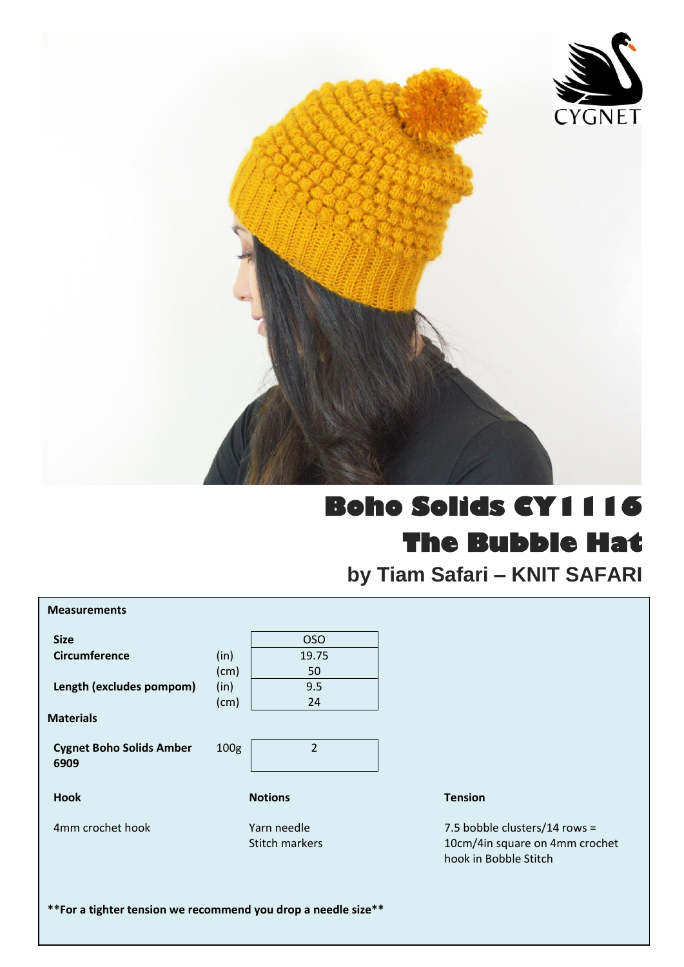

## **Boho Solids CY1116 The Bubble Hat**

**by Tiam Safari – KNIT SAFARI**

| <b>Measurements</b>                                            |                  |                               |                                                                                          |
|----------------------------------------------------------------|------------------|-------------------------------|------------------------------------------------------------------------------------------|
| <b>Size</b>                                                    |                  | <b>OSO</b>                    |                                                                                          |
| Circumference                                                  | (in)             | 19.75                         |                                                                                          |
|                                                                | (cm)             | 50                            |                                                                                          |
| Length (excludes pompom)                                       | (in)             | 9.5                           |                                                                                          |
|                                                                | (cm)             | 24                            |                                                                                          |
| <b>Materials</b>                                               |                  |                               |                                                                                          |
| <b>Cygnet Boho Solids Amber</b><br>6909                        | 100 <sub>g</sub> | $\overline{2}$                |                                                                                          |
| <b>Hook</b>                                                    |                  | <b>Notions</b>                | <b>Tension</b>                                                                           |
| 4mm crochet hook                                               |                  | Yarn needle<br>Stitch markers | 7.5 bobble clusters/14 rows =<br>10cm/4in square on 4mm crochet<br>hook in Bobble Stitch |
| ** For a tighter tension we recommend you drop a needle size** |                  |                               |                                                                                          |